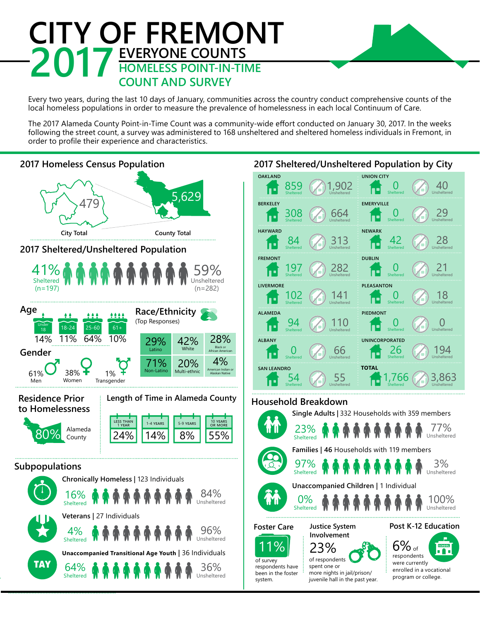## **CITY OF FREMONT 2017** EVERYONE COUNTS<br>
COUNT AND SURVEY **COUNT AND SURVEY**

Every two years, during the last 10 days of January, communities across the country conduct comprehensive counts of the local homeless populations in order to measure the prevalence of homelessness in each local Continuum of Care.

The 2017 Alameda County Point-in-Time Count was a community-wide effort conducted on January 30, 2017. In the weeks following the street count, a survey was administered to 168 unsheltered and sheltered homeless individuals in Fremont, in order to profile their experience and characteristics.

## **2017 Homeless Census Population**



## **OAKLAND UNION CITY** 1,902 859  $\rm{O}$ 40 Sheltered Unsheltered Unsheltered **EMERYVILLE** 29 308 664  $\rm{O}$ œ Sheltered Unsheltered Unsheltered **NEWARK** 84 313 42 28 ÍÞ Sheltered Unsheltered Sheltered Unsheltered **DUBLIN** 197 282 21 0 **C** Sheltered Unsheltered Unsheltered **PLEASANTON** 18 102 141  $\Box$ œ Sheltered Unsheltered Unsheltered **PIEDMONT** 0 Unsheltered 94 110 í L  $\rm{O}$ Sheltered Unsheltered **UNINCORPORATED** 0 66 194 26 Unsheltered Sheltered Unsheltered **TOTAL**  $54$ 55 3,863 ,766 Sheltered Unsheltered Unsheltered

**2017 Sheltered/Unsheltered Population by City**

## **Household Breakdown**



more nights in jail/prison/ juvenile hall in the past year.

program or college.